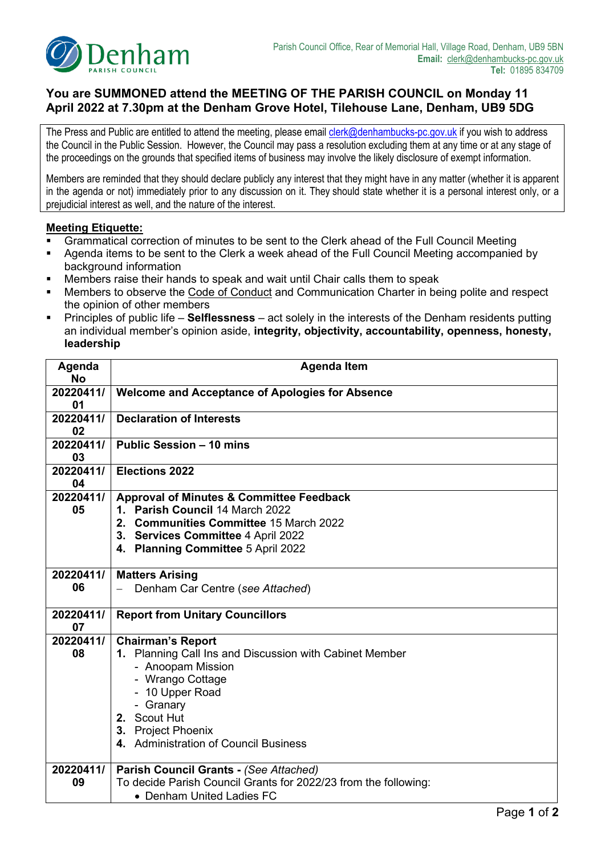

# **You are SUMMONED attend the MEETING OF THE PARISH COUNCIL on Monday 11 April 2022 at 7.30pm at the Denham Grove Hotel, Tilehouse Lane, Denham, UB9 5DG**

The Press and Public are entitled to attend the meeting, please email *clerk@denhambucks-pc.gov.uk* if you wish to address the Council in the Public Session. However, the Council may pass a resolution excluding them at any time or at any stage of the proceedings on the grounds that specified items of business may involve the likely disclosure of exempt information.

Members are reminded that they should declare publicly any interest that they might have in any matter (whether it is apparent in the agenda or not) immediately prior to any discussion on it. They should state whether it is a personal interest only, or a prejudicial interest as well, and the nature of the interest.

#### **Meeting Etiquette:**

- Grammatical correction of minutes to be sent to the Clerk ahead of the Full Council Meeting
- **Agenda items to be sent to the Clerk a week ahead of the Full Council Meeting accompanied by** background information
- Members raise their hands to speak and wait until Chair calls them to speak
- Members to observe the Code of Conduct and Communication Charter in being polite and respect the opinion of other members
- Principles of public life **Selflessness** act solely in the interests of the Denham residents putting an individual member's opinion aside, **integrity, objectivity, accountability, openness, honesty, leadership**

| Agenda<br><b>No</b> | <b>Agenda Item</b>                                                                                                                                                                                                                          |  |  |  |
|---------------------|---------------------------------------------------------------------------------------------------------------------------------------------------------------------------------------------------------------------------------------------|--|--|--|
| 20220411/<br>01     | <b>Welcome and Acceptance of Apologies for Absence</b>                                                                                                                                                                                      |  |  |  |
| 20220411/<br>02     | <b>Declaration of Interests</b>                                                                                                                                                                                                             |  |  |  |
| 20220411/<br>03     | Public Session - 10 mins                                                                                                                                                                                                                    |  |  |  |
| 20220411/<br>04     | <b>Elections 2022</b>                                                                                                                                                                                                                       |  |  |  |
| 20220411/<br>05     | <b>Approval of Minutes &amp; Committee Feedback</b><br>1. Parish Council 14 March 2022<br>2. Communities Committee 15 March 2022<br>3. Services Committee 4 April 2022<br>4. Planning Committee 5 April 2022                                |  |  |  |
| 20220411/<br>06     | <b>Matters Arising</b><br>Denham Car Centre (see Attached)                                                                                                                                                                                  |  |  |  |
| 20220411/<br>07     | <b>Report from Unitary Councillors</b>                                                                                                                                                                                                      |  |  |  |
| 20220411/<br>08     | <b>Chairman's Report</b><br>1. Planning Call Ins and Discussion with Cabinet Member<br>- Anoopam Mission<br>- Wrango Cottage<br>- 10 Upper Road<br>- Granary<br>2. Scout Hut<br>3. Project Phoenix<br>4. Administration of Council Business |  |  |  |
| 20220411/<br>09     | Parish Council Grants - (See Attached)<br>To decide Parish Council Grants for 2022/23 from the following:<br>• Denham United Ladies FC                                                                                                      |  |  |  |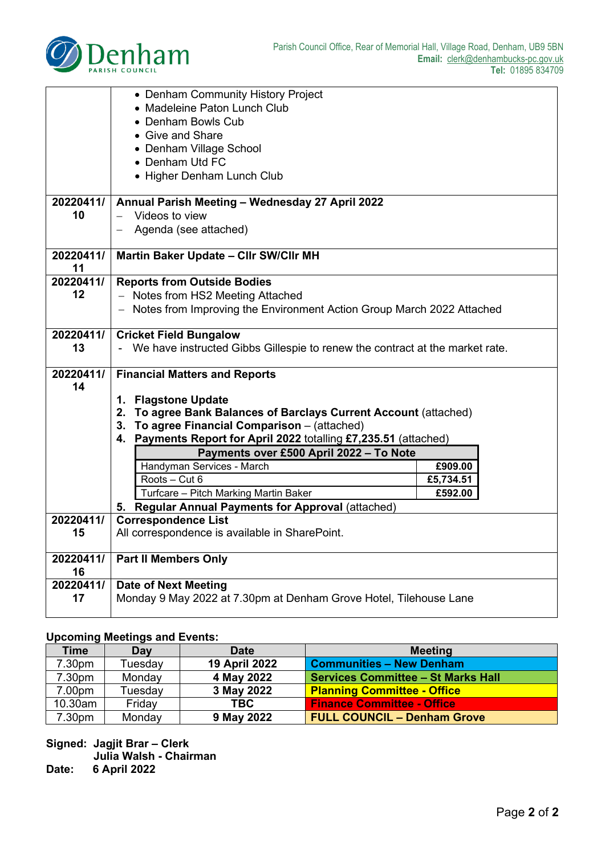

|                 | • Denham Community History Project                                                      |           |
|-----------------|-----------------------------------------------------------------------------------------|-----------|
|                 | • Madeleine Paton Lunch Club                                                            |           |
|                 | • Denham Bowls Cub                                                                      |           |
|                 | • Give and Share                                                                        |           |
|                 | • Denham Village School                                                                 |           |
|                 | • Denham Utd FC                                                                         |           |
|                 | • Higher Denham Lunch Club                                                              |           |
| 20220411/       | Annual Parish Meeting - Wednesday 27 April 2022                                         |           |
| 10              | Videos to view                                                                          |           |
|                 | Agenda (see attached)                                                                   |           |
|                 |                                                                                         |           |
| 20220411/       | Martin Baker Update - Cllr SW/Cllr MH                                                   |           |
| 11              |                                                                                         |           |
| 20220411/       | <b>Reports from Outside Bodies</b>                                                      |           |
| 12              | - Notes from HS2 Meeting Attached                                                       |           |
|                 | - Notes from Improving the Environment Action Group March 2022 Attached                 |           |
| 20220411/       | <b>Cricket Field Bungalow</b>                                                           |           |
| 13              | - We have instructed Gibbs Gillespie to renew the contract at the market rate.          |           |
|                 |                                                                                         |           |
| 20220411/       | <b>Financial Matters and Reports</b>                                                    |           |
| 14              |                                                                                         |           |
|                 | 1. Flagstone Update<br>2. To agree Bank Balances of Barclays Current Account (attached) |           |
|                 | 3. To agree Financial Comparison - (attached)                                           |           |
|                 | 4. Payments Report for April 2022 totalling £7,235.51 (attached)                        |           |
|                 | Payments over £500 April 2022 - To Note                                                 |           |
|                 | Handyman Services - March                                                               | £909.00   |
|                 | Roots - Cut 6                                                                           | £5,734.51 |
|                 | Turfcare - Pitch Marking Martin Baker                                                   | £592.00   |
|                 | 5. Regular Annual Payments for Approval (attached)                                      |           |
| 20220411/       | <b>Correspondence List</b>                                                              |           |
| 15              | All correspondence is available in SharePoint.                                          |           |
|                 |                                                                                         |           |
| 20220411/       | <b>Part II Members Only</b>                                                             |           |
| 16<br>20220411/ | <b>Date of Next Meeting</b>                                                             |           |
| 17              | Monday 9 May 2022 at 7.30pm at Denham Grove Hotel, Tilehouse Lane                       |           |
|                 |                                                                                         |           |

#### **Upcoming Meetings and Events:**

| Time    | Day     | <b>Date</b>   | <b>Meeting</b>                            |
|---------|---------|---------------|-------------------------------------------|
| 7.30pm  | Tuesday | 19 April 2022 | <b>Communities - New Denham</b>           |
| 7.30pm  | Monday  | 4 May 2022    | <b>Services Committee - St Marks Hall</b> |
| 7.00pm  | Tuesday | 3 May 2022    | <b>Planning Committee - Office</b>        |
| 10.30am | Friday  | <b>TBC</b>    | <b>Finance Committee - Office</b>         |
| 7.30pm  | Monday  | 9 May 2022    | <b>FULL COUNCIL - Denham Grove</b>        |

**Signed: Jagjit Brar – Clerk Julia Walsh - Chairman**